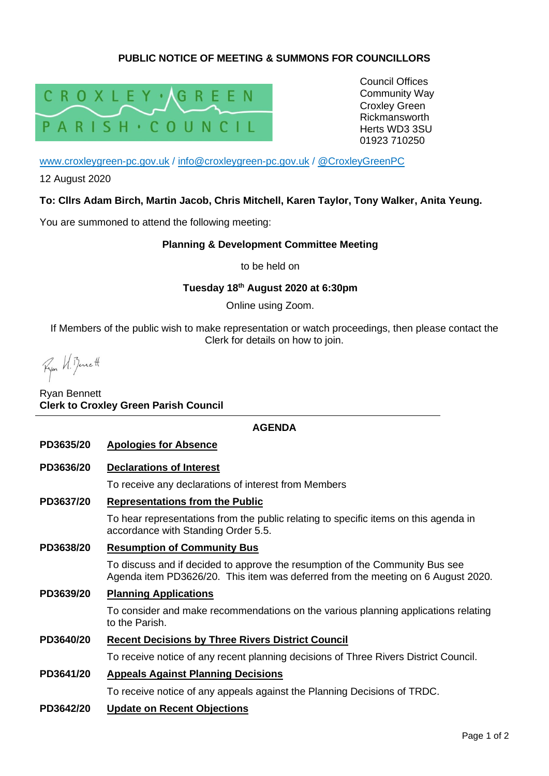# **PUBLIC NOTICE OF MEETING & SUMMONS FOR COUNCILLORS**



Council Offices Community Way Croxley Green Rickmansworth Herts WD3 3SU 01923 710250

[www.croxleygreen-pc.gov.uk](http://www.croxleygreen-pc.gov.uk/) / [info@croxleygreen-pc.gov.uk](mailto:info@croxleygreen-pc.gov.uk) / [@CroxleyGreenPC](https://twitter.com/CroxleyGreenPC)

12 August 2020

### **To: Cllrs Adam Birch, Martin Jacob, Chris Mitchell, Karen Taylor, Tony Walker, Anita Yeung.**

You are summoned to attend the following meeting:

### **Planning & Development Committee Meeting**

to be held on

#### **Tuesday 18 th August 2020 at 6:30pm**

Online using Zoom.

If Members of the public wish to make representation or watch proceedings, then please contact the Clerk for details on how to join.

Fyon H. Benett

## Ryan Bennett **Clerk to Croxley Green Parish Council**

#### **AGENDA**

- **PD3635/20 Apologies for Absence**
- **PD3636/20 Declarations of Interest**

To receive any declarations of interest from Members

**PD3637/20 Representations from the Public**

To hear representations from the public relating to specific items on this agenda in accordance with Standing Order 5.5.

**PD3638/20 Resumption of Community Bus**

To discuss and if decided to approve the resumption of the Community Bus see Agenda item PD3626/20. This item was deferred from the meeting on 6 August 2020.

**PD3639/20 Planning Applications**

To consider and make recommendations on the various planning applications relating to the Parish.

## **PD3640/20 Recent Decisions by Three Rivers District Council**

To receive notice of any recent planning decisions of Three Rivers District Council.

**PD3641/20 Appeals Against Planning Decisions**

To receive notice of any appeals against the Planning Decisions of TRDC.

**PD3642/20 Update on Recent Objections**